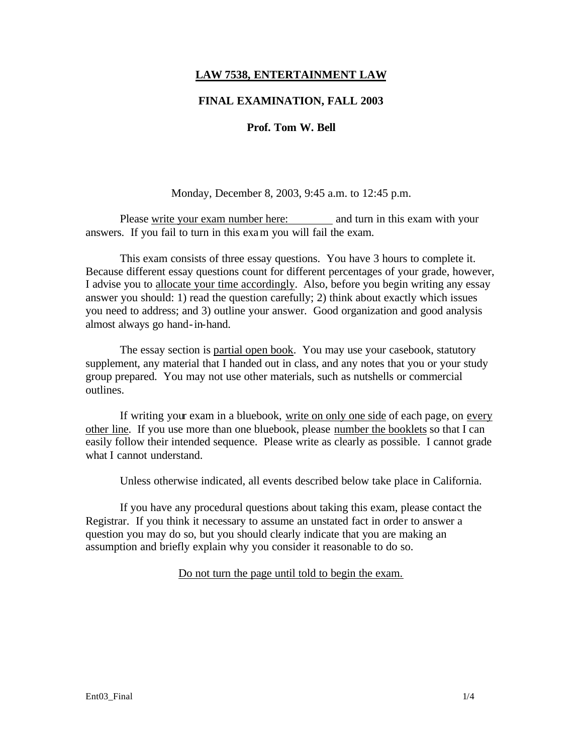### **LAW 7538, ENTERTAINMENT LAW**

### **FINAL EXAMINATION, FALL 2003**

### **Prof. Tom W. Bell**

#### Monday, December 8, 2003, 9:45 a.m. to 12:45 p.m.

Please write your exam number here: and turn in this exam with your answers. If you fail to turn in this exam you will fail the exam.

This exam consists of three essay questions. You have 3 hours to complete it. Because different essay questions count for different percentages of your grade, however, I advise you to allocate your time accordingly. Also, before you begin writing any essay answer you should: 1) read the question carefully; 2) think about exactly which issues you need to address; and 3) outline your answer. Good organization and good analysis almost always go hand-in-hand.

The essay section is partial open book. You may use your casebook, statutory supplement, any material that I handed out in class, and any notes that you or your study group prepared. You may not use other materials, such as nutshells or commercial outlines.

If writing your exam in a bluebook, write on only one side of each page, on every other line. If you use more than one bluebook, please number the booklets so that I can easily follow their intended sequence. Please write as clearly as possible. I cannot grade what I cannot understand.

Unless otherwise indicated, all events described below take place in California.

If you have any procedural questions about taking this exam, please contact the Registrar. If you think it necessary to assume an unstated fact in order to answer a question you may do so, but you should clearly indicate that you are making an assumption and briefly explain why you consider it reasonable to do so.

# Do not turn the page until told to begin the exam.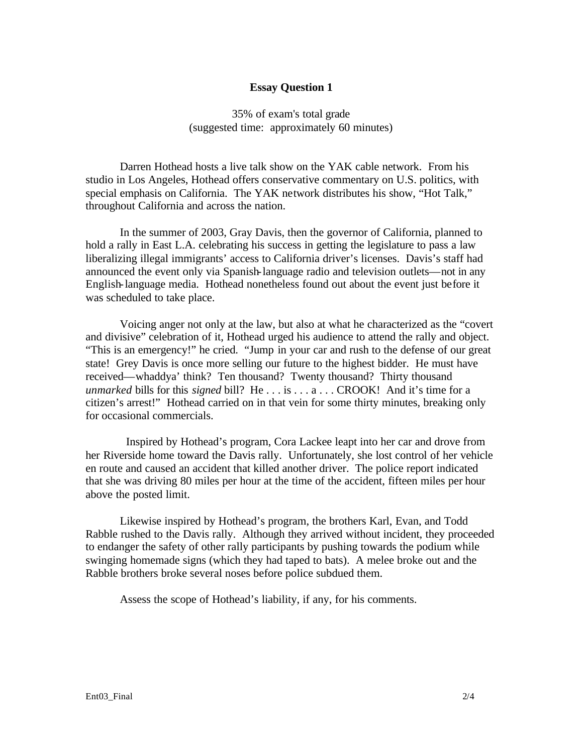### **Essay Question 1**

35% of exam's total grade (suggested time: approximately 60 minutes)

Darren Hothead hosts a live talk show on the YAK cable network. From his studio in Los Angeles, Hothead offers conservative commentary on U.S. politics, with special emphasis on California. The YAK network distributes his show, "Hot Talk," throughout California and across the nation.

In the summer of 2003, Gray Davis, then the governor of California, planned to hold a rally in East L.A. celebrating his success in getting the legislature to pass a law liberalizing illegal immigrants' access to California driver's licenses. Davis's staff had announced the event only via Spanish-language radio and television outlets—not in any English-language media. Hothead nonetheless found out about the event just before it was scheduled to take place.

Voicing anger not only at the law, but also at what he characterized as the "covert and divisive" celebration of it, Hothead urged his audience to attend the rally and object. "This is an emergency!" he cried. "Jump in your car and rush to the defense of our great state! Grey Davis is once more selling our future to the highest bidder. He must have received—whaddya' think? Ten thousand? Twenty thousand? Thirty thousand *unmarked* bills for this *signed* bill? He . . . is . . . a . . . CROOK! And it's time for a citizen's arrest!" Hothead carried on in that vein for some thirty minutes, breaking only for occasional commercials.

 Inspired by Hothead's program, Cora Lackee leapt into her car and drove from her Riverside home toward the Davis rally. Unfortunately, she lost control of her vehicle en route and caused an accident that killed another driver. The police report indicated that she was driving 80 miles per hour at the time of the accident, fifteen miles per hour above the posted limit.

Likewise inspired by Hothead's program, the brothers Karl, Evan, and Todd Rabble rushed to the Davis rally. Although they arrived without incident, they proceeded to endanger the safety of other rally participants by pushing towards the podium while swinging homemade signs (which they had taped to bats). A melee broke out and the Rabble brothers broke several noses before police subdued them.

Assess the scope of Hothead's liability, if any, for his comments.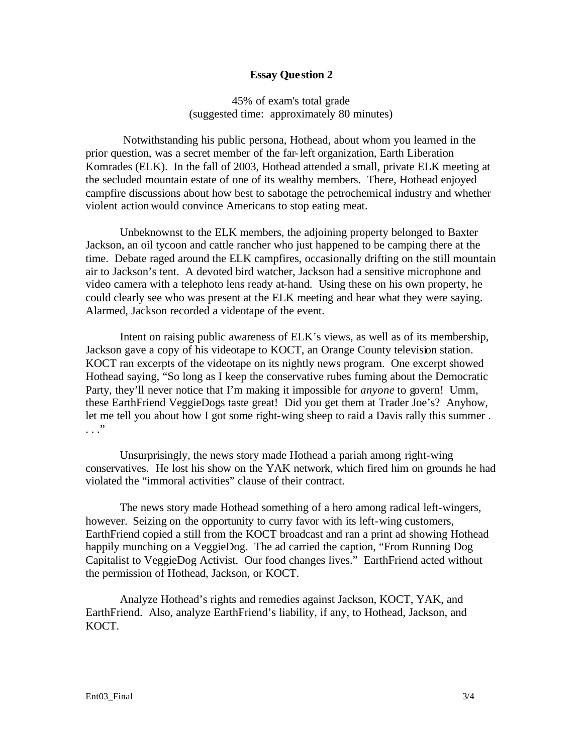### **Essay Que stion 2**

45% of exam's total grade (suggested time: approximately 80 minutes)

 Notwithstanding his public persona, Hothead, about whom you learned in the prior question, was a secret member of the far-left organization, Earth Liberation Komrades (ELK). In the fall of 2003, Hothead attended a small, private ELK meeting at the secluded mountain estate of one of its wealthy members. There, Hothead enjoyed campfire discussions about how best to sabotage the petrochemical industry and whether violent action would convince Americans to stop eating meat.

Unbeknownst to the ELK members, the adjoining property belonged to Baxter Jackson, an oil tycoon and cattle rancher who just happened to be camping there at the time. Debate raged around the ELK campfires, occasionally drifting on the still mountain air to Jackson's tent. A devoted bird watcher, Jackson had a sensitive microphone and video camera with a telephoto lens ready at-hand. Using these on his own property, he could clearly see who was present at the ELK meeting and hear what they were saying. Alarmed, Jackson recorded a videotape of the event.

Intent on raising public awareness of ELK's views, as well as of its membership, Jackson gave a copy of his videotape to KOCT, an Orange County television station. KOCT ran excerpts of the videotape on its nightly news program. One excerpt showed Hothead saying, "So long as I keep the conservative rubes fuming about the Democratic Party, they'll never notice that I'm making it impossible for *anyone* to govern! Umm, these EarthFriend VeggieDogs taste great! Did you get them at Trader Joe's? Anyhow, let me tell you about how I got some right-wing sheep to raid a Davis rally this summer . . . ."

Unsurprisingly, the news story made Hothead a pariah among right-wing conservatives. He lost his show on the YAK network, which fired him on grounds he had violated the "immoral activities" clause of their contract.

The news story made Hothead something of a hero among radical left-wingers, however. Seizing on the opportunity to curry favor with its left-wing customers, EarthFriend copied a still from the KOCT broadcast and ran a print ad showing Hothead happily munching on a VeggieDog. The ad carried the caption, "From Running Dog Capitalist to VeggieDog Activist. Our food changes lives." EarthFriend acted without the permission of Hothead, Jackson, or KOCT.

Analyze Hothead's rights and remedies against Jackson, KOCT, YAK, and EarthFriend. Also, analyze EarthFriend's liability, if any, to Hothead, Jackson, and KOCT.